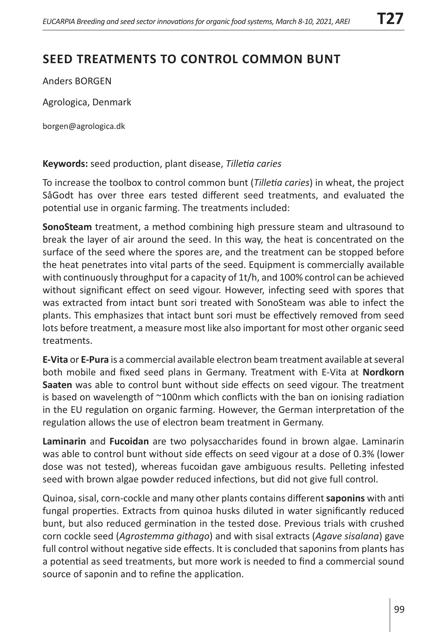## **SEED TREATMENTS TO CONTROL COMMON BUNT**

Anders BORGEN

Agrologica, Denmark

borgen@agrologica.dk

## **Keywords:** seed production, plant disease, *Tilletia caries*

To increase the toolbox to control common bunt (*Tilletia caries*) in wheat, the project SåGodt has over three ears tested different seed treatments, and evaluated the potential use in organic farming. The treatments included:

**SonoSteam** treatment, a method combining high pressure steam and ultrasound to break the layer of air around the seed. In this way, the heat is concentrated on the surface of the seed where the spores are, and the treatment can be stopped before the heat penetrates into vital parts of the seed. Equipment is commercially available with continuously throughput for a capacity of 1t/h, and 100% control can be achieved without significant effect on seed vigour. However, infecting seed with spores that was extracted from intact bunt sori treated with SonoSteam was able to infect the plants. This emphasizes that intact bunt sori must be effectively removed from seed lots before treatment, a measure most like also important for most other organic seed treatments.

**E-Vita** or **E-Pura** is a commercial available electron beam treatment available at several both mobile and fixed seed plans in Germany. Treatment with E-Vita at **Nordkorn Saaten** was able to control bunt without side effects on seed vigour. The treatment is based on wavelength of ~100nm which conflicts with the ban on ionising radiation in the EU regulation on organic farming. However, the German interpretation of the regulation allows the use of electron beam treatment in Germany.

**Laminarin** and **Fucoidan** are two polysaccharides found in brown algae. Laminarin was able to control bunt without side effects on seed vigour at a dose of 0.3% (lower dose was not tested), whereas fucoidan gave ambiguous results. Pelleting infested seed with brown algae powder reduced infections, but did not give full control.

Quinoa, sisal, corn-cockle and many other plants contains different **saponins** with anti fungal properties. Extracts from quinoa husks diluted in water significantly reduced bunt, but also reduced germination in the tested dose. Previous trials with crushed corn cockle seed (*Agrostemma githago*) and with sisal extracts (*Agave sisalana*) gave full control without negative side effects. It is concluded that saponins from plants has a potential as seed treatments, but more work is needed to find a commercial sound source of saponin and to refine the application.